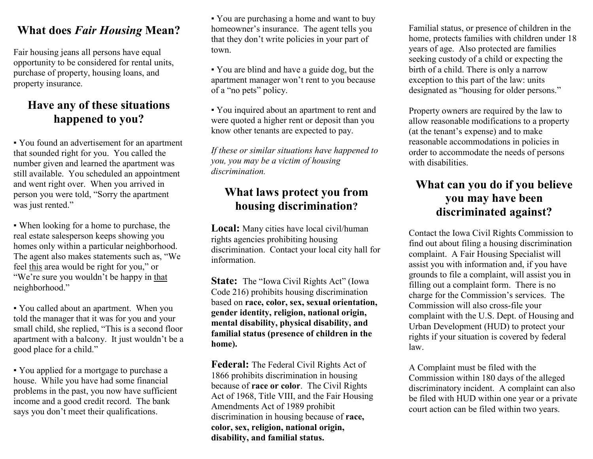#### What does Fair Housing Mean?

Fair housing jeans all persons have equal opportunity to be considered for rental units, purchase of property, housing loans, and property insurance.

## Have any of these situations happened to you?

▪ You found an advertisement for an apartment that sounded right for you. You called the number given and learned the apartment was still available. You scheduled an appointment and went right over. When you arrived in person you were told, "Sorry the apartment was just rented."

▪ When looking for a home to purchase, the real estate salesperson keeps showing you homes only within a particular neighborhood. The agent also makes statements such as, "We feel this area would be right for you," or "We're sure you wouldn't be happy in that neighborhood."

▪ You called about an apartment. When you told the manager that it was for you and your small child, she replied, "This is a second floor apartment with a balcony. It just wouldn't be a good place for a child."

▪ You applied for a mortgage to purchase a house. While you have had some financial problems in the past, you now have sufficient income and a good credit record. The bank says you don't meet their qualifications.

▪ You are purchasing a home and want to buy homeowner's insurance. The agent tells you that they don't write policies in your part of town.

▪ You are blind and have a guide dog, but the apartment manager won't rent to you because of a "no pets" policy.

▪ You inquired about an apartment to rent and were quoted a higher rent or deposit than you know other tenants are expected to pay.

If these or similar situations have happened to you, you may be a victim of housing discrimination.

#### What laws protect you from housing discrimination?

Local: Many cities have local civil/human rights agencies prohibiting housing discrimination. Contact your local city hall for information.

State: The "Iowa Civil Rights Act" (Iowa Code 216) prohibits housing discrimination based on race, color, sex, sexual orientation, gender identity, religion, national origin, mental disability, physical disability, and familial status (presence of children in the home).

Federal: The Federal Civil Rights Act of 1866 prohibits discrimination in housing because of race or color. The Civil Rights Act of 1968, Title VIII, and the Fair Housing Amendments Act of 1989 prohibit discrimination in housing because of race, color, sex, religion, national origin, disability, and familial status.

Familial status, or presence of children in the home, protects families with children under 18 years of age. Also protected are families seeking custody of a child or expecting the birth of a child. There is only a narrow exception to this part of the law: units designated as "housing for older persons."

Property owners are required by the law to allow reasonable modifications to a property (at the tenant's expense) and to make reasonable accommodations in policies in order to accommodate the needs of persons with disabilities.

#### What can you do if you believe you may have been discriminated against?

Contact the Iowa Civil Rights Commission to find out about filing a housing discrimination complaint. A Fair Housing Specialist will assist you with information and, if you have grounds to file a complaint, will assist you in filling out a complaint form. There is no charge for the Commission's services. The Commission will also cross-file your complaint with the U.S. Dept. of Housing and Urban Development (HUD) to protect your rights if your situation is covered by federal law.

A Complaint must be filed with the Commission within 180 days of the alleged discriminatory incident. A complaint can also be filed with HUD within one year or a private court action can be filed within two years.